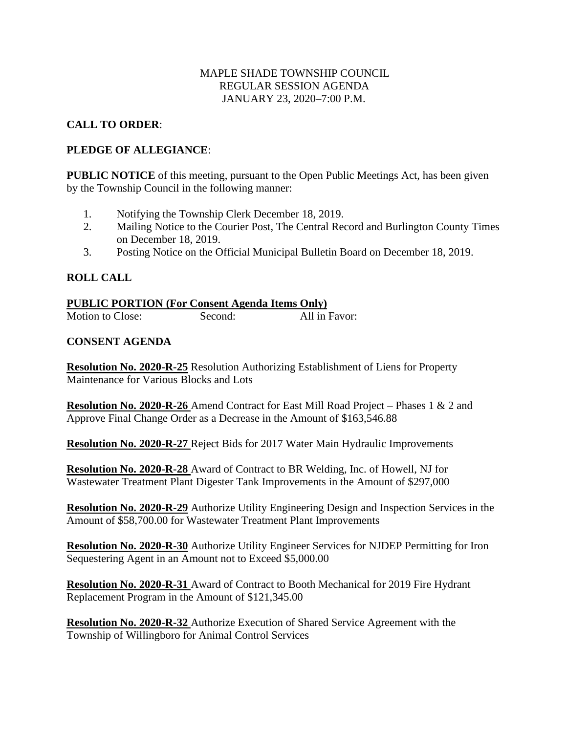## MAPLE SHADE TOWNSHIP COUNCIL REGULAR SESSION AGENDA JANUARY 23, 2020–7:00 P.M.

# **CALL TO ORDER**:

## **PLEDGE OF ALLEGIANCE**:

**PUBLIC NOTICE** of this meeting, pursuant to the Open Public Meetings Act, has been given by the Township Council in the following manner:

- 1. Notifying the Township Clerk December 18, 2019.
- 2. Mailing Notice to the Courier Post, The Central Record and Burlington County Times on December 18, 2019.
- 3. Posting Notice on the Official Municipal Bulletin Board on December 18, 2019.

## **ROLL CALL**

| <b>PUBLIC PORTION (For Consent Agenda Items Only)</b> |         |               |
|-------------------------------------------------------|---------|---------------|
| Motion to Close:                                      | Second: | All in Favor: |

## **CONSENT AGENDA**

**Resolution No. 2020-R-25** Resolution Authorizing Establishment of Liens for Property Maintenance for Various Blocks and Lots

**Resolution No. 2020-R-26** Amend Contract for East Mill Road Project – Phases 1 & 2 and Approve Final Change Order as a Decrease in the Amount of \$163,546.88

**Resolution No. 2020-R-27** Reject Bids for 2017 Water Main Hydraulic Improvements

**Resolution No. 2020-R-28** Award of Contract to BR Welding, Inc. of Howell, NJ for Wastewater Treatment Plant Digester Tank Improvements in the Amount of \$297,000

**Resolution No. 2020-R-29** Authorize Utility Engineering Design and Inspection Services in the Amount of \$58,700.00 for Wastewater Treatment Plant Improvements

**Resolution No. 2020-R-30** Authorize Utility Engineer Services for NJDEP Permitting for Iron Sequestering Agent in an Amount not to Exceed \$5,000.00

**Resolution No. 2020-R-31** Award of Contract to Booth Mechanical for 2019 Fire Hydrant Replacement Program in the Amount of \$121,345.00

**Resolution No. 2020-R-32** Authorize Execution of Shared Service Agreement with the Township of Willingboro for Animal Control Services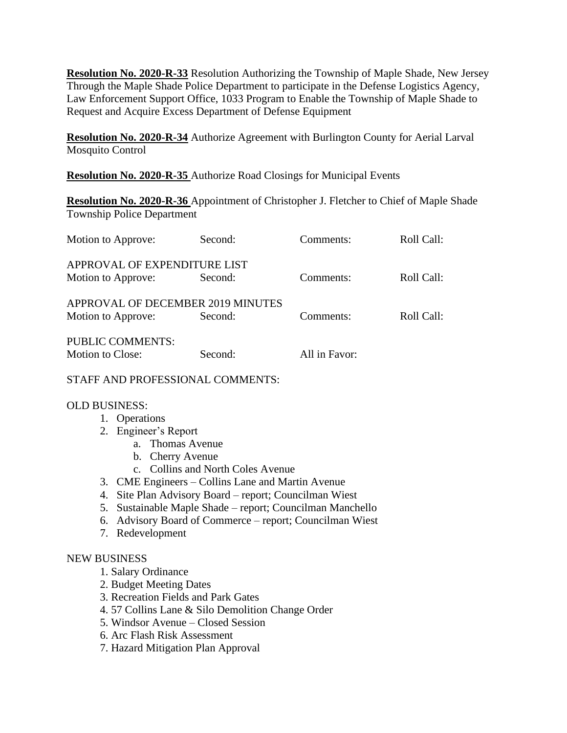**Resolution No. 2020-R-33** Resolution Authorizing the Township of Maple Shade, New Jersey Through the Maple Shade Police Department to participate in the Defense Logistics Agency, Law Enforcement Support Office, 1033 Program to Enable the Township of Maple Shade to Request and Acquire Excess Department of Defense Equipment

**Resolution No. 2020-R-34** Authorize Agreement with Burlington County for Aerial Larval Mosquito Control

**Resolution No. 2020-R-35** Authorize Road Closings for Municipal Events

**Resolution No. 2020-R-36** Appointment of Christopher J. Fletcher to Chief of Maple Shade Township Police Department

| Motion to Approve:                | Second: | Comments:     | Roll Call: |
|-----------------------------------|---------|---------------|------------|
| APPROVAL OF EXPENDITURE LIST      |         |               |            |
| Motion to Approve:                | Second: | Comments:     | Roll Call: |
| APPROVAL OF DECEMBER 2019 MINUTES |         |               |            |
| Motion to Approve:                | Second: | Comments:     | Roll Call: |
| <b>PUBLIC COMMENTS:</b>           |         |               |            |
| Motion to Close:                  | Second: | All in Favor: |            |

STAFF AND PROFESSIONAL COMMENTS:

#### OLD BUSINESS:

- 1. Operations
- 2. Engineer's Report
	- a. Thomas Avenue
	- b. Cherry Avenue
	- c. Collins and North Coles Avenue
- 3. CME Engineers Collins Lane and Martin Avenue
- 4. Site Plan Advisory Board report; Councilman Wiest
- 5. Sustainable Maple Shade report; Councilman Manchello
- 6. Advisory Board of Commerce report; Councilman Wiest
- 7. Redevelopment

#### NEW BUSINESS

- 1. Salary Ordinance
- 2. Budget Meeting Dates
- 3. Recreation Fields and Park Gates
- 4. 57 Collins Lane & Silo Demolition Change Order
- 5. Windsor Avenue Closed Session
- 6. Arc Flash Risk Assessment
- 7. Hazard Mitigation Plan Approval